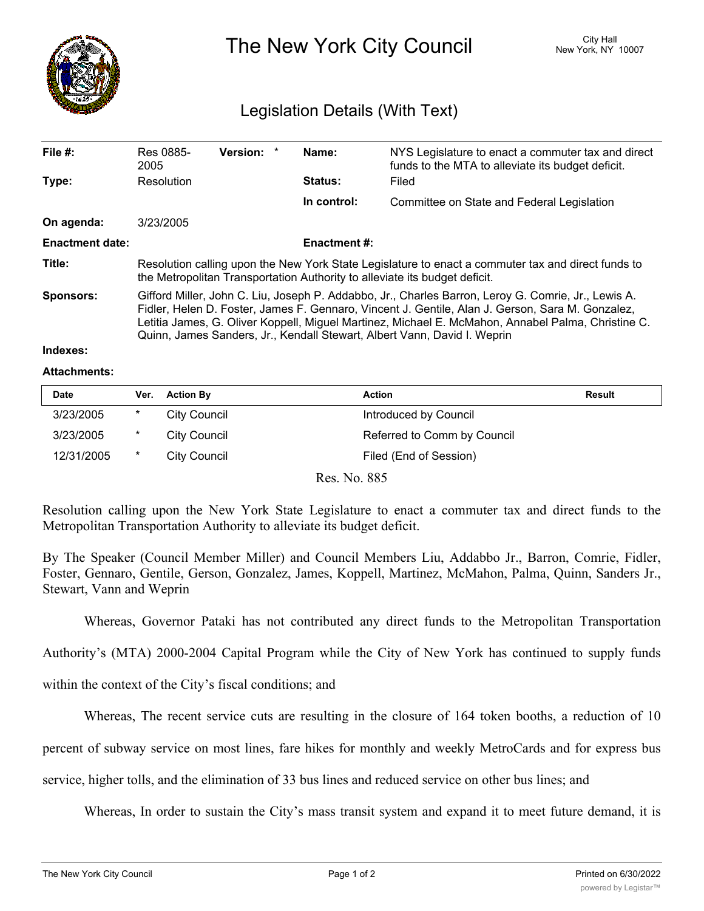

The New York City Council New York, NY 10007

## Legislation Details (With Text)

| File $#$ :             | Res 0885-<br>2005                                                                                                                                                                                                                                                                                                                                                                         | Version: * |  | Name:          | NYS Legislature to enact a commuter tax and direct<br>funds to the MTA to alleviate its budget deficit. |  |  |
|------------------------|-------------------------------------------------------------------------------------------------------------------------------------------------------------------------------------------------------------------------------------------------------------------------------------------------------------------------------------------------------------------------------------------|------------|--|----------------|---------------------------------------------------------------------------------------------------------|--|--|
| Type:                  | Resolution                                                                                                                                                                                                                                                                                                                                                                                |            |  | <b>Status:</b> | Filed                                                                                                   |  |  |
|                        |                                                                                                                                                                                                                                                                                                                                                                                           |            |  | In control:    | Committee on State and Federal Legislation                                                              |  |  |
| On agenda:             | 3/23/2005                                                                                                                                                                                                                                                                                                                                                                                 |            |  |                |                                                                                                         |  |  |
| <b>Enactment date:</b> | <b>Enactment #:</b>                                                                                                                                                                                                                                                                                                                                                                       |            |  |                |                                                                                                         |  |  |
| Title:                 | Resolution calling upon the New York State Legislature to enact a commuter tax and direct funds to<br>the Metropolitan Transportation Authority to alleviate its budget deficit.                                                                                                                                                                                                          |            |  |                |                                                                                                         |  |  |
| <b>Sponsors:</b>       | Gifford Miller, John C. Liu, Joseph P. Addabbo, Jr., Charles Barron, Leroy G. Comrie, Jr., Lewis A.<br>Fidler, Helen D. Foster, James F. Gennaro, Vincent J. Gentile, Alan J. Gerson, Sara M. Gonzalez,<br>Letitia James, G. Oliver Koppell, Miguel Martinez, Michael E. McMahon, Annabel Palma, Christine C.<br>Quinn, James Sanders, Jr., Kendall Stewart, Albert Vann, David I. Weprin |            |  |                |                                                                                                         |  |  |

## **Indexes:**

## **Attachments:**

| <b>Date</b> | Ver.    | <b>Action By</b> | Action                      | <b>Result</b> |
|-------------|---------|------------------|-----------------------------|---------------|
| 3/23/2005   | *       | City Council     | Introduced by Council       |               |
| 3/23/2005   | *       | City Council     | Referred to Comm by Council |               |
| 12/31/2005  | $\star$ | City Council     | Filed (End of Session)      |               |

Res. No. 885

Resolution calling upon the New York State Legislature to enact a commuter tax and direct funds to the Metropolitan Transportation Authority to alleviate its budget deficit.

By The Speaker (Council Member Miller) and Council Members Liu, Addabbo Jr., Barron, Comrie, Fidler, Foster, Gennaro, Gentile, Gerson, Gonzalez, James, Koppell, Martinez, McMahon, Palma, Quinn, Sanders Jr., Stewart, Vann and Weprin

Whereas, Governor Pataki has not contributed any direct funds to the Metropolitan Transportation

Authority's (MTA) 2000-2004 Capital Program while the City of New York has continued to supply funds

within the context of the City's fiscal conditions; and

Whereas, The recent service cuts are resulting in the closure of 164 token booths, a reduction of 10

percent of subway service on most lines, fare hikes for monthly and weekly MetroCards and for express bus

service, higher tolls, and the elimination of 33 bus lines and reduced service on other bus lines; and

Whereas, In order to sustain the City's mass transit system and expand it to meet future demand, it is